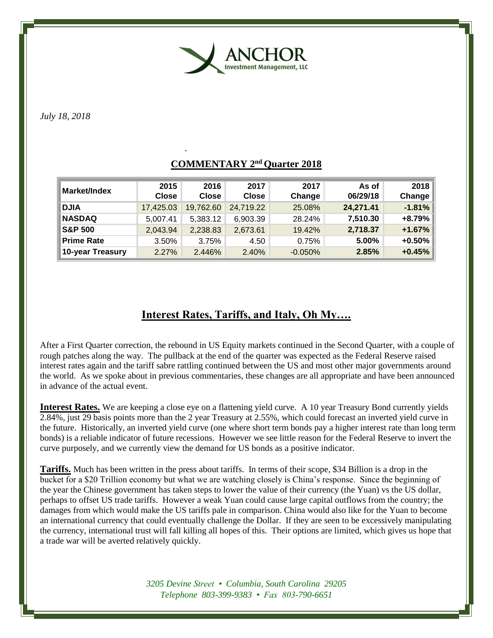

*July 18, 2018* 

| Market/Index       | 2015<br><b>Close</b> | 2016<br><b>Close</b> | 2017<br><b>Close</b> | 2017<br>Change | As of<br>06/29/18 | 2018<br>Change |
|--------------------|----------------------|----------------------|----------------------|----------------|-------------------|----------------|
| <b>DJIA</b>        | 17,425.03            | 19,762.60            | 24,719.22            | 25.08%         | 24,271.41         | $-1.81%$       |
| <b>NASDAQ</b>      | 5,007.41             | 5,383.12             | 6,903.39             | 28.24%         | 7,510.30          | +8.79%         |
| <b>S&amp;P 500</b> | 2,043.94             | 2,238.83             | 2,673.61             | 19.42%         | 2,718.37          | $+1.67%$       |
| <b>Prime Rate</b>  | 3.50%                | 3.75%                | 4.50                 | 0.75%          | 5.00%             | $+0.50%$       |
| 10-year Treasury   | 2.27%                | 2.446%               | 2.40%                | $-0.050\%$     | 2.85%             | $+0.45%$       |

## **COMMENTARY 2nd Quarter 2018**

*.*

## **Interest Rates, Tariffs, and Italy, Oh My….**

After a First Quarter correction, the rebound in US Equity markets continued in the Second Quarter, with a couple of rough patches along the way. The pullback at the end of the quarter was expected as the Federal Reserve raised interest rates again and the tariff sabre rattling continued between the US and most other major governments around the world. As we spoke about in previous commentaries, these changes are all appropriate and have been announced in advance of the actual event.

**Interest Rates.** We are keeping a close eye on a flattening yield curve. A 10 year Treasury Bond currently yields 2.84%, just 29 basis points more than the 2 year Treasury at 2.55%, which could forecast an inverted yield curve in the future. Historically, an inverted yield curve (one where short term bonds pay a higher interest rate than long term bonds) is a reliable indicator of future recessions. However we see little reason for the Federal Reserve to invert the curve purposely, and we currently view the demand for US bonds as a positive indicator.

**Tariffs.** Much has been written in the press about tariffs. In terms of their scope, \$34 Billion is a drop in the bucket for a \$20 Trillion economy but what we are watching closely is China's response. Since the beginning of the year the Chinese government has taken steps to lower the value of their currency (the Yuan) vs the US dollar, perhaps to offset US trade tariffs. However a weak Yuan could cause large capital outflows from the country; the damages from which would make the US tariffs pale in comparison. China would also like for the Yuan to become an international currency that could eventually challenge the Dollar. If they are seen to be excessively manipulating the currency, international trust will fall killing all hopes of this. Their options are limited, which gives us hope that a trade war will be averted relatively quickly.

> *3205 Devine Street • Columbia, South Carolina 29205 Telephone 803-399-9383 • Fax 803-790-6651*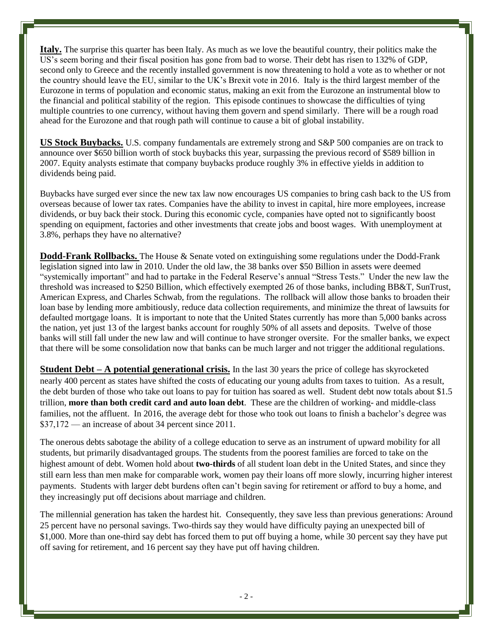**Italy.** The surprise this quarter has been Italy. As much as we love the beautiful country, their politics make the US's seem boring and their fiscal position has gone from bad to worse. Their debt has risen to 132% of GDP, second only to Greece and the recently installed government is now threatening to hold a vote as to whether or not the country should leave the EU, similar to the UK's Brexit vote in 2016. Italy is the third largest member of the Eurozone in terms of population and economic status, making an exit from the Eurozone an instrumental blow to the financial and political stability of the region. This episode continues to showcase the difficulties of tying multiple countries to one currency, without having them govern and spend similarly. There will be a rough road ahead for the Eurozone and that rough path will continue to cause a bit of global instability.

**US Stock Buybacks.** U.S. company fundamentals are extremely strong and S&P 500 companies are on track to announce over \$650 billion worth of stock buybacks this year, surpassing the previous record of \$589 billion in 2007. Equity analysts estimate that company buybacks produce roughly 3% in effective yields in addition to dividends being paid.

Buybacks have surged ever since the new tax law now encourages US companies to bring cash back to the US from overseas because of lower tax rates. Companies have the ability to invest in capital, hire more employees, increase dividends, or buy back their stock. During this economic cycle, companies have opted not to significantly boost spending on equipment, factories and other investments that create jobs and boost wages. With unemployment at 3.8%, perhaps they have no alternative?

**Dodd-Frank Rollbacks.** The House & Senate voted on extinguishing some regulations under the Dodd-Frank legislation signed into law in 2010. Under the old law, the 38 banks over \$50 Billion in assets were deemed "systemically important" and had to partake in the Federal Reserve's annual "Stress Tests." Under the new law the threshold was increased to \$250 Billion, which effectively exempted 26 of those banks, including BB&T, SunTrust, American Express, and Charles Schwab, from the regulations. The rollback will allow those banks to broaden their loan base by lending more ambitiously, reduce data collection requirements, and minimize the threat of lawsuits for defaulted mortgage loans. It is important to note that the United States currently has more than 5,000 banks across the nation, yet just 13 of the largest banks account for roughly 50% of all assets and deposits. Twelve of those banks will still fall under the new law and will continue to have stronger oversite. For the smaller banks, we expect that there will be some consolidation now that banks can be much larger and not trigger the additional regulations.

**Student Debt – A potential generational crisis.** In the last 30 years the price of college has skyrocketed nearly 400 percent as states have shifted the costs of educating our young adults from taxes to tuition. As a result, the debt burden of those who take out loans to pay for tuition has soared as well. Student debt now totals about \$1.5 trillion, **more than both credit card and auto loan debt**. These are the children of working- and middle-class families, not the affluent. In 2016, the average debt for those who took out loans to finish a bachelor's degree was \$37,172 — an increase of about 34 percent since 2011.

The onerous debts sabotage the ability of a college education to serve as an instrument of upward mobility for all students, but primarily disadvantaged groups. The students from the poorest families are forced to take on the highest amount of debt. Women hold about **two-thirds** of all student loan debt in the United States, and since they still earn less than men make for comparable work, women pay their loans off more slowly, incurring higher interest payments. Students with larger debt burdens often can't begin saving for retirement or afford to buy a home, and they increasingly put off decisions about marriage and children.

The millennial generation has taken the hardest hit. Consequently, they save less than previous generations: Around 25 percent have no personal savings. Two-thirds say they would have difficulty paying an unexpected bill of \$1,000. More than one-third say debt has forced them to put off buying a home, while 30 percent say they have put off saving for retirement, and 16 percent say they have put off having children.